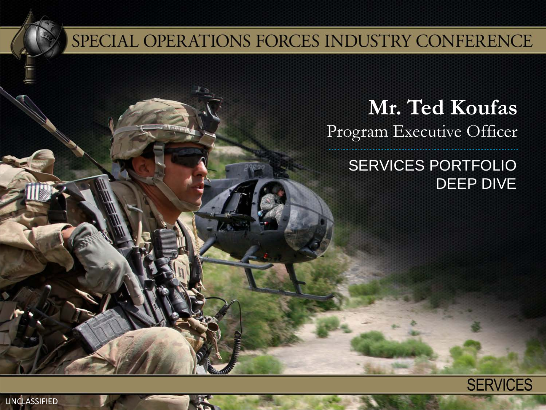#### SPECIAL OPERATIONS FORCES INDUSTRY CONFERENCE

**Mr. Ted Koufas** Program Executive Officer

> SERVICES PORTFOLIO DEEP DIVE

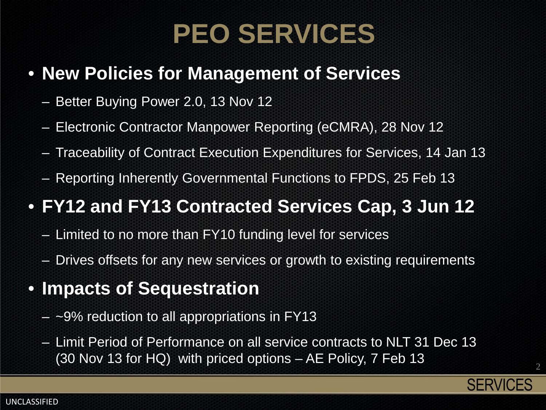### **PEO SERVICES**

#### • **New Policies for Management of Services**

- Better Buying Power 2.0, 13 Nov 12
- Electronic Contractor Manpower Reporting (eCMRA), 28 Nov 12
- Traceability of Contract Execution Expenditures for Services, 14 Jan 13
- Reporting Inherently Governmental Functions to FPDS, 25 Feb 13

#### • **FY12 and FY13 Contracted Services Cap, 3 Jun 12**

- Limited to no more than FY10 funding level for services
- Drives offsets for any new services or growth to existing requirements
- **Impacts of Sequestration**
	- $-$  ~9% reduction to all appropriations in FY13
	- Limit Period of Performance on all service contracts to NLT 31 Dec 13 (30 Nov 13 for HQ) with priced options – AE Policy, 7 Feb 13



2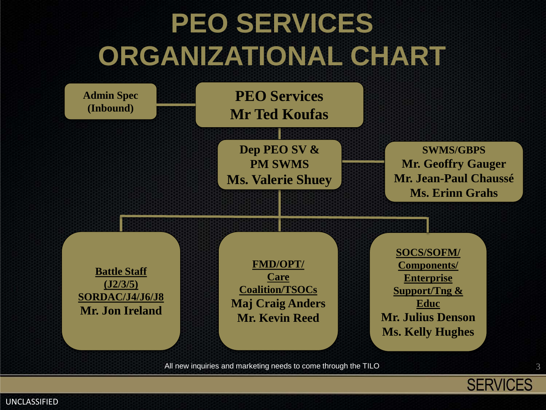

**Admin Spec (Inbound)**

**PEO Services Mr Ted Koufas**

**Dep PEO SV & PM SWMS Ms. Valerie Shuey**

**SWMS/GBPS Mr. Geoffry Gauger Mr. Jean-Paul Chaussé Ms. Erinn Grahs**

**Battle Staff (J2/3/5) SORDAC/J4/J6/J8 Mr. Jon Ireland**

**FMD/OPT/ Care Coalition/TSOCs Maj Craig Anders Mr. Kevin Reed**

**SOCS/SOFM/ Components/ Enterprise Support/Tng & Educ Mr. Julius Denson Ms. Kelly Hughes**

All new inquiries and marketing needs to come through the TILO



UNCLASSIFIED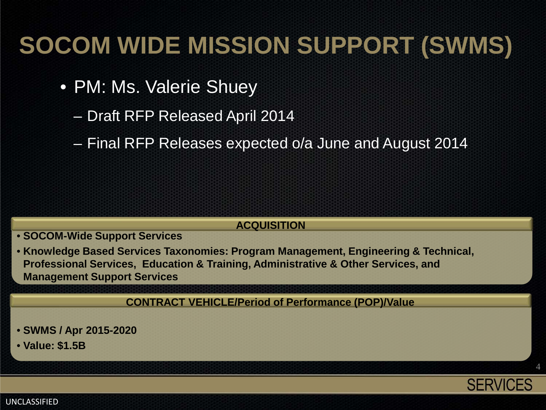#### **SOCOM WIDE MISSION SUPPORT (SWMS)**

- PM: Ms. Valerie Shuey
	- Draft RFP Released April 2014
	- Final RFP Releases expected o/a June and August 2014

#### **ACQUISITION**

- **SOCOM-Wide Support Services**
- **Knowledge Based Services Taxonomies: Program Management, Engineering & Technical, Professional Services, Education & Training, Administrative & Other Services, and Management Support Services**

**CONTRACT VEHICLE/Period of Performance (POP)/Value**

- **SWMS / Apr 2015-2020**
- **Value: \$1.5B**



4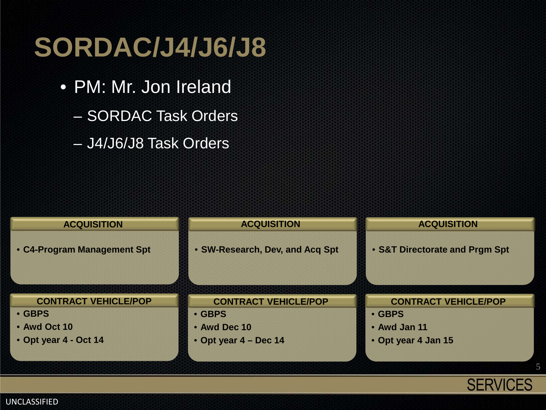## **SORDAC/J4/J6/J8**

- PM: Mr. Jon Ireland
	- SORDAC Task Orders
	- J4/J6/J8 Task Orders



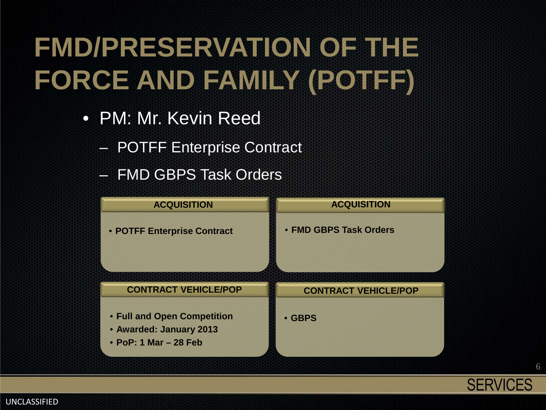# **FMD/PRESERVATION OF THE FORCE AND FAMILY (POTFF)**

- PM: Mr. Kevin Reed
	- POTFF Enterprise Contract
	- FMD GBPS Task Orders





6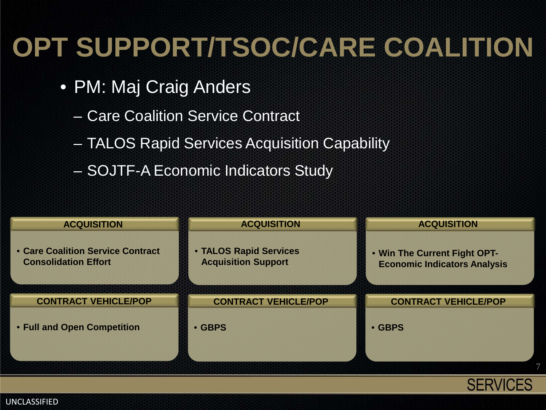## **OPT SUPPORT/TSOC/CARE COALITION**

- PM: Maj Craig Anders
	- Care Coalition Service Contract
	- TALOS Rapid Services Acquisition Capability
	- SOJTF-A Economic Indicators Study

| <b>ACQUISITION</b>                                               | <b>ACQUISITION</b>                                   | <b>ACQUISITION</b>                                                  |
|------------------------------------------------------------------|------------------------------------------------------|---------------------------------------------------------------------|
| • Care Coalition Service Contract<br><b>Consolidation Effort</b> | • TALOS Rapid Services<br><b>Acquisition Support</b> | . Win The Current Fight OPT-<br><b>Economic Indicators Analysis</b> |
| <b>CONTRACT VEHICLE/POP</b>                                      | <b>CONTRACT VEHICLE/POP</b>                          | <b>CONTRACT VEHICLE/POP</b>                                         |
|                                                                  |                                                      |                                                                     |
| • Full and Open Competition                                      | • GBPS                                               | • GBPS                                                              |
|                                                                  |                                                      |                                                                     |
|                                                                  |                                                      |                                                                     |
|                                                                  |                                                      |                                                                     |



UNCLASSIFIED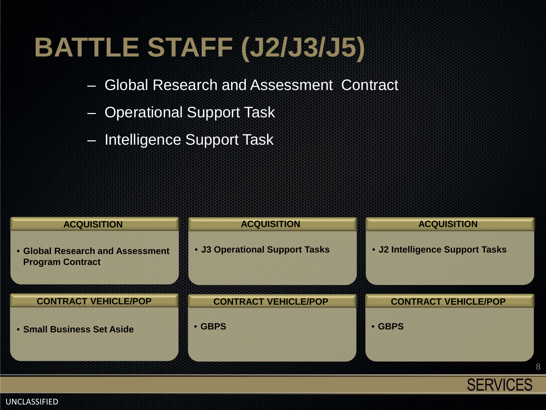## **BATTLE STAFF (J2/J3/J5)**

- Global Research and Assessment Contract
- Operational Support Task
- Intelligence Support Task



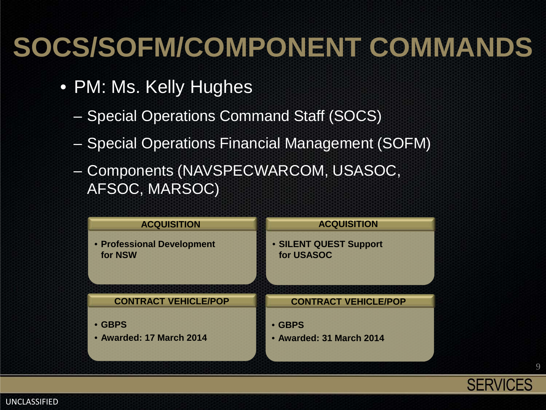## **SOCS/SOFM/COMPONENT COMMANDS**

- PM: Ms. Kelly Hughes
	- Special Operations Command Staff (SOCS)
	- Special Operations Financial Management (SOFM)
	- Components (NAVSPECWARCOM, USASOC, AFSOC, MARSOC)



**SERVICES** 

9

#### UNCLASSIFIED